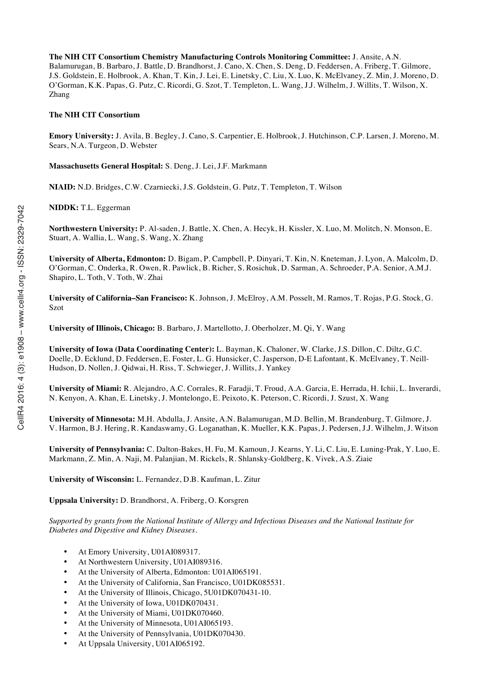**The NIH CIT Consortium Chemistry Manufacturing Controls Monitoring Committee:** J. Ansite, A.N. Balamurugan, B. Barbaro, J. Battle, D. Brandhorst, J. Cano, X. Chen, S. Deng, D. Feddersen, A. Friberg, T. Gilmore, J.S. Goldstein, E. Holbrook, A. Khan, T. Kin, J. Lei, E. Linetsky, C. Liu, X. Luo, K. McElvaney, Z. Min, J. Moreno, D. O'Gorman, K.K. Papas, G. Putz, C. Ricordi, G. Szot, T. Templeton, L. Wang, J.J. Wilhelm, J. Willits, T. Wilson, X. Zhang

#### **The NIH CIT Consortium**

**Emory University:** J. Avila, B. Begley, J. Cano, S. Carpentier, E. Holbrook, J. Hutchinson, C.P. Larsen, J. Moreno, M. Sears, N.A. Turgeon, D. Webster

**Massachusetts General Hospital:** S. Deng, J. Lei, J.F. Markmann

**NIAID:** N.D. Bridges, C.W. Czarniecki, J.S. Goldstein, G. Putz, T. Templeton, T. Wilson

**NIDDK:** T.L. Eggerman

**Northwestern University:** P. Al-saden, J. Battle, X. Chen, A. Hecyk, H. Kissler, X. Luo, M. Molitch, N. Monson, E. Stuart, A. Wallia, L. Wang, S. Wang, X. Zhang

**University of Alberta, Edmonton:** D. Bigam, P. Campbell, P. Dinyari, T. Kin, N. Kneteman, J. Lyon, A. Malcolm, D. O'Gorman, C. Onderka, R. Owen, R. Pawlick, B. Richer, S. Rosichuk, D. Sarman, A. Schroeder, P.A. Senior, A.M.J. Shapiro, L. Toth, V. Toth, W. Zhai

**University of California–San Francisco:** K. Johnson, J. McElroy, A.M. Posselt, M. Ramos, T. Rojas, P.G. Stock, G. Szot

**University of Illinois, Chicago:** B. Barbaro, J. Martellotto, J. Oberholzer, M. Qi, Y. Wang

**University of Iowa (Data Coordinating Center):** L. Bayman, K. Chaloner, W. Clarke, J.S. Dillon, C. Diltz, G.C. Doelle, D. Ecklund, D. Feddersen, E. Foster, L. G. Hunsicker, C. Jasperson, D-E Lafontant, K. McElvaney, T. Neill-Hudson, D. Nollen, J. Qidwai, H. Riss, T. Schwieger, J. Willits, J. Yankey

**University of Miami:** R. Alejandro, A.C. Corrales, R. Faradji, T. Froud, A.A. Garcia, E. Herrada, H. Ichii, L. Inverardi, N. Kenyon, A. Khan, E. Linetsky, J. Montelongo, E. Peixoto, K. Peterson, C. Ricordi, J. Szust, X. Wang

**University of Minnesota:** M.H. Abdulla, J. Ansite, A.N. Balamurugan, M.D. Bellin, M. Brandenburg, T. Gilmore, J. V. Harmon, B.J. Hering, R. Kandaswamy, G. Loganathan, K. Mueller, K.K. Papas, J. Pedersen, J.J. Wilhelm, J. Witson

**University of Pennsylvania:** C. Dalton-Bakes, H. Fu, M. Kamoun, J. Kearns, Y. Li, C. Liu, E. Luning-Prak, Y. Luo, E. Markmann, Z. Min, A. Naji, M. Palanjian, M. Rickels, R. Shlansky-Goldberg, K. Vivek, A.S. Ziaie

**University of Wisconsin:** L. Fernandez, D.B. Kaufman, L. Zitur

**Uppsala University:** D. Brandhorst, A. Friberg, O. Korsgren

*Supported by grants from the National Institute of Allergy and Infectious Diseases and the National Institute for Diabetes and Digestive and Kidney Diseases.*

- At Emory University, U01AI089317.
- At Northwestern University, U01AI089316.
- At the University of Alberta, Edmonton: U01AI065191.
- At the University of California, San Francisco, U01DK085531.
- At the University of Illinois, Chicago, 5U01DK070431-10.
- At the University of Iowa, U01DK070431.
- At the University of Miami, U01DK070460.
- At the University of Minnesota, U01AI065193.
- At the University of Pennsylvania, U01DK070430.
- At Uppsala University, U01AI065192.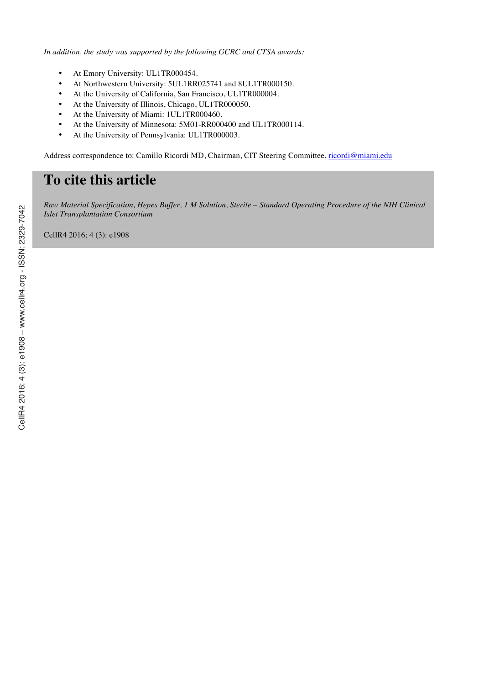*In addition, the study was supported by the following GCRC and CTSA awards:*

- At Emory University: UL1TR000454.
- At Northwestern University: 5UL1RR025741 and 8UL1TR000150.
- At the University of California, San Francisco, UL1TR000004.
- At the University of Illinois, Chicago, UL1TR000050.
- At the University of Miami: 1UL1TR000460.
- At the University of Minnesota: 5M01-RR000400 and UL1TR000114.
- At the University of Pennsylvania: UL1TR000003.

Address correspondence to: Camillo Ricordi MD, Chairman, CIT Steering Committee, ricordi@miami.edu

# **To cite this article**

*Raw Material Specification, Hepes Buffer, 1 M Solution, Sterile – Standard Operating Procedure of the NIH Clinical Islet Transplantation Consortium*

CellR4 2016; 4 (3): e1908